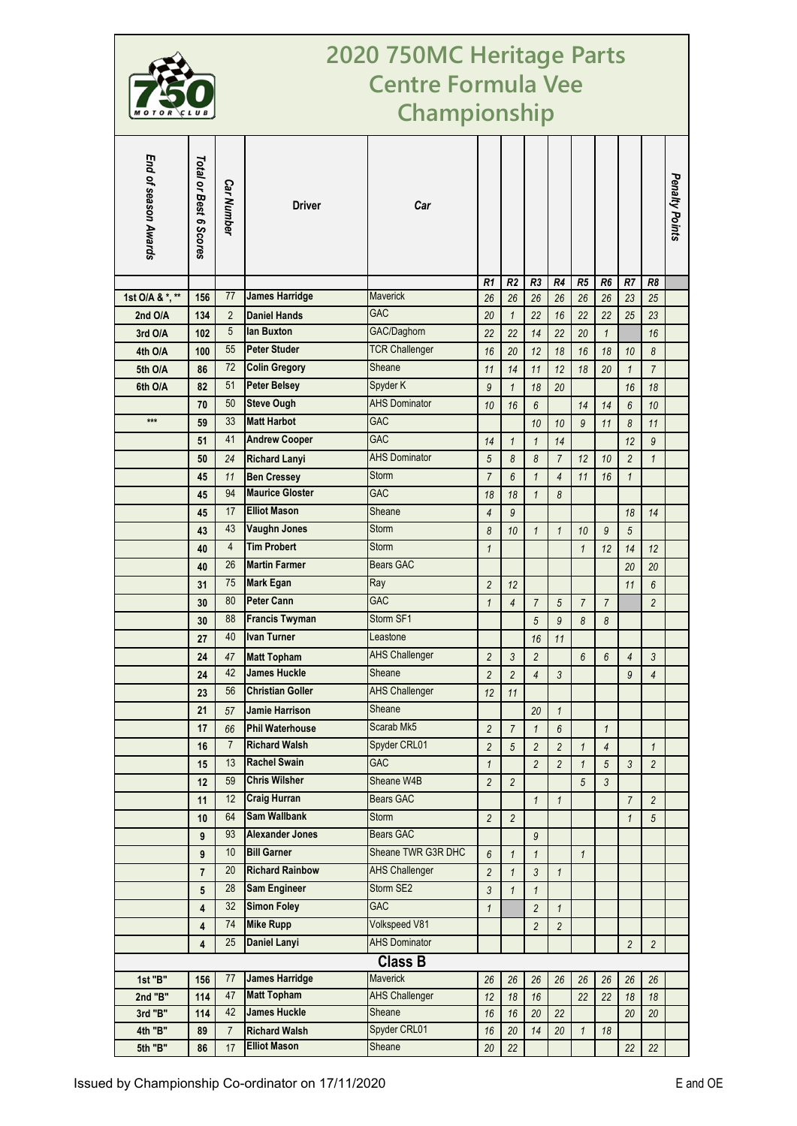

## **2020 750MC Heritage Parts Centre Formula Vee Championship**

| End of season Awards                           | Total or Best 6 Scores | <b>Car Number</b> | <b>Driver</b>           | Car                   |                |                |                |                  |                |                |                          |                | Penalty Points |
|------------------------------------------------|------------------------|-------------------|-------------------------|-----------------------|----------------|----------------|----------------|------------------|----------------|----------------|--------------------------|----------------|----------------|
|                                                |                        |                   |                         |                       | R <sub>1</sub> | R <sub>2</sub> | R3             | R4               | R <sub>5</sub> | R <sub>6</sub> | R7                       | R8             |                |
| 1st O/A & *, **                                | 156                    | 77                | <b>James Harridge</b>   | <b>Maverick</b>       | 26             | 26             | 26             | 26               | 26             | 26             | 23                       | 25             |                |
| 2nd O/A                                        | 134                    | $\overline{2}$    | <b>Daniel Hands</b>     | <b>GAC</b>            | 20             | $\mathbf{1}$   | 22             | 16               | 22             | 22             | 25                       | 23             |                |
| 3rd O/A                                        | 102                    | 5                 | lan Buxton              | GAC/Daghorn           | 22             | 22             | 14             | 22               | 20             | $\mathbf{1}$   |                          | 16             |                |
| 4th O/A                                        | 100                    | 55                | <b>Peter Studer</b>     | <b>TCR Challenger</b> | 16             | 20             | 12             | 18               | 16             | 18             | 10                       | 8              |                |
| 5th O/A                                        | 86                     | 72                | <b>Colin Gregory</b>    | Sheane                | 11             | 14             | 11             | 12               | 18             | 20             | $\mathbf{1}$             | $\overline{7}$ |                |
| 6th O/A                                        | 82                     | 51                | <b>Peter Belsey</b>     | Spyder K              | 9              | $\mathbf{1}$   | 18             | 20               |                |                | 16                       | 18             |                |
|                                                | 70                     | 50                | <b>Steve Ough</b>       | <b>AHS Dominator</b>  | 10             | 16             | 6              |                  | 14             | 14             | 6                        | 10             |                |
| $***$                                          | 59                     | 33                | <b>Matt Harbot</b>      | <b>GAC</b>            |                |                | $10$           | 10               | 9              | 11             | $\boldsymbol{8}$         | 11             |                |
|                                                | 51                     | 41                | <b>Andrew Cooper</b>    | <b>GAC</b>            | 14             | $\mathbf{1}$   | $\mathbf{1}$   | 14               |                |                | 12                       | 9              |                |
|                                                | 50                     | 24                | <b>Richard Lanyi</b>    | <b>AHS Dominator</b>  | 5              | 8              | 8              | $\overline{7}$   | 12             | 10             | $\overline{2}$           | $\mathbf{1}$   |                |
|                                                | 45                     | 11                | <b>Ben Cressey</b>      | <b>Storm</b>          | $\overline{7}$ | 6              | $\mathbf{1}$   | $\overline{4}$   | 11             | 16             | $\mathbf{1}$             |                |                |
|                                                | 45                     | 94                | <b>Maurice Gloster</b>  | <b>GAC</b>            | 18             | 18             | $\mathbf{1}$   | 8                |                |                |                          |                |                |
|                                                | 45                     | 17                | <b>Elliot Mason</b>     | Sheane                | $\overline{4}$ | 9              |                |                  |                |                | 18                       | 14             |                |
|                                                | 43                     | 43                | <b>Vaughn Jones</b>     | <b>Storm</b>          | 8              | 10             | $\mathbf{1}$   | $\mathbf{1}$     | 10             | 9              | 5                        |                |                |
|                                                | 40                     | $\overline{4}$    | <b>Tim Probert</b>      | <b>Storm</b>          | $\mathbf{1}$   |                |                |                  | $\mathbf{1}$   | 12             | 14                       | 12             |                |
|                                                | 40                     | 26                | <b>Martin Farmer</b>    | <b>Bears GAC</b>      |                |                |                |                  |                |                | 20                       | 20             |                |
|                                                | 31                     | 75                | <b>Mark Egan</b>        | Ray                   | $\overline{2}$ | 12             |                |                  |                |                | 11                       | 6              |                |
|                                                | 30                     | 80                | <b>Peter Cann</b>       | <b>GAC</b>            | $\mathbf{1}$   | $\overline{4}$ | $\overline{7}$ | 5                | $\overline{7}$ | $\overline{7}$ |                          | $\overline{c}$ |                |
|                                                | 30                     | 88                | <b>Francis Twyman</b>   | Storm SF1             |                |                | 5              | $\overline{9}$   | 8              | 8              |                          |                |                |
|                                                | 27                     | 40                | <b>Ivan Turner</b>      | Leastone              |                |                | 16             | 11               |                |                |                          |                |                |
|                                                | 24                     | 47                | <b>Matt Topham</b>      | <b>AHS Challenger</b> | $\overline{2}$ | 3              | $\overline{c}$ |                  | 6              | 6              | $\overline{\mathcal{A}}$ | 3              |                |
|                                                | 24                     | 42                | <b>James Huckle</b>     | Sheane                | $\overline{c}$ | $\overline{2}$ | $\overline{4}$ | $\mathfrak{Z}$   |                |                | 9                        | $\overline{4}$ |                |
|                                                | 23                     | 56                | <b>Christian Goller</b> | <b>AHS Challenger</b> | 12             | 11             |                |                  |                |                |                          |                |                |
|                                                | 21                     | 57                | <b>Jamie Harrison</b>   | Sheane                |                |                | 20             | 1                |                |                |                          |                |                |
|                                                | 17                     | 66                | <b>Phil Waterhouse</b>  | Scarab Mk5            | $\overline{c}$ | $\overline{7}$ | 1              | $\boldsymbol{6}$ |                | $\mathbf{1}$   |                          |                |                |
|                                                | 16                     | $\overline{7}$    | <b>Richard Walsh</b>    | Spyder CRL01          | $\overline{2}$ | 5              | $\overline{2}$ | $\overline{2}$   | $\mathbf{1}$   | $\overline{4}$ |                          | $\mathbf{1}$   |                |
|                                                | 15                     | 13                | <b>Rachel Swain</b>     | <b>GAC</b>            | $\mathbf{1}$   |                | $\overline{c}$ | $\overline{c}$   | $\mathbf{1}$   | $\sqrt{5}$     | $\mathfrak{Z}$           | $\overline{c}$ |                |
|                                                | 12                     | 59                | <b>Chris Wilsher</b>    | Sheane W4B            | $\overline{c}$ | $\overline{2}$ |                |                  | 5              | 3              |                          |                |                |
|                                                | 11                     | 12                | <b>Craig Hurran</b>     | <b>Bears GAC</b>      |                |                | $\mathbf{1}$   | $\mathbf{1}$     |                |                | $\boldsymbol{7}$         | $\overline{c}$ |                |
|                                                | 10                     | 64                | <b>Sam Wallbank</b>     | Storm                 | $\overline{c}$ | $\overline{2}$ |                |                  |                |                | $\mathbf{1}$             | 5              |                |
|                                                | 9                      | 93                | <b>Alexander Jones</b>  | Bears GAC             |                |                | $\mathfrak g$  |                  |                |                |                          |                |                |
|                                                | 9                      | 10                | <b>Bill Garner</b>      | Sheane TWR G3R DHC    | 6              | $\mathbf{1}$   | $\mathbf{1}$   |                  | $\mathbf{1}$   |                |                          |                |                |
|                                                | $\overline{7}$         | 20                | <b>Richard Rainbow</b>  | <b>AHS Challenger</b> | $\overline{c}$ | $\mathbf{1}$   | $\mathfrak{Z}$ | $\mathbf{1}$     |                |                |                          |                |                |
|                                                | 5                      | 28                | <b>Sam Engineer</b>     | Storm SE2             | 3              | $\mathbf{1}$   | $\mathbf{1}$   |                  |                |                |                          |                |                |
|                                                | 4                      | 32                | <b>Simon Foley</b>      | <b>GAC</b>            | $\mathbf{1}$   |                | $\overline{c}$ | $\mathbf{1}$     |                |                |                          |                |                |
|                                                | 4                      | 74                | <b>Mike Rupp</b>        | Volkspeed V81         |                |                | $\overline{c}$ |                  |                |                |                          |                |                |
|                                                | 4                      | 25                | <b>Daniel Lanyi</b>     | <b>AHS Dominator</b>  |                |                |                | $\overline{c}$   |                |                |                          |                |                |
|                                                |                        |                   |                         | <b>Class B</b>        |                |                |                |                  |                |                | $\overline{c}$           | $\overline{c}$ |                |
| <b>James Harridge</b><br>77<br><b>Maverick</b> |                        |                   |                         |                       |                |                |                |                  |                |                |                          |                |                |
| 1st "B"<br>2nd "B"                             | 156<br>114             | 47                | <b>Matt Topham</b>      | <b>AHS Challenger</b> | 26<br>12       | 26<br>18       | 26<br>16       | 26               | 26<br>22       | 26<br>22       | 26<br>18                 | 26<br>18       |                |
| 3rd "B"                                        | 114                    | 42                | <b>James Huckle</b>     | Sheane                | 16             | 16             | $20\,$         | 22               |                |                | 20                       | 20             |                |
| 4th "B"                                        | 89                     | $\overline{7}$    | <b>Richard Walsh</b>    | Spyder CRL01          | 16             | 20             | 14             | 20               | $\mathbf{1}$   | 18             |                          |                |                |
| 5th "B"                                        | 86                     | 17                | <b>Elliot Mason</b>     | Sheane                | 20             | 22             |                |                  |                |                | 22                       | 22             |                |
|                                                |                        |                   |                         |                       |                |                |                |                  |                |                |                          |                |                |